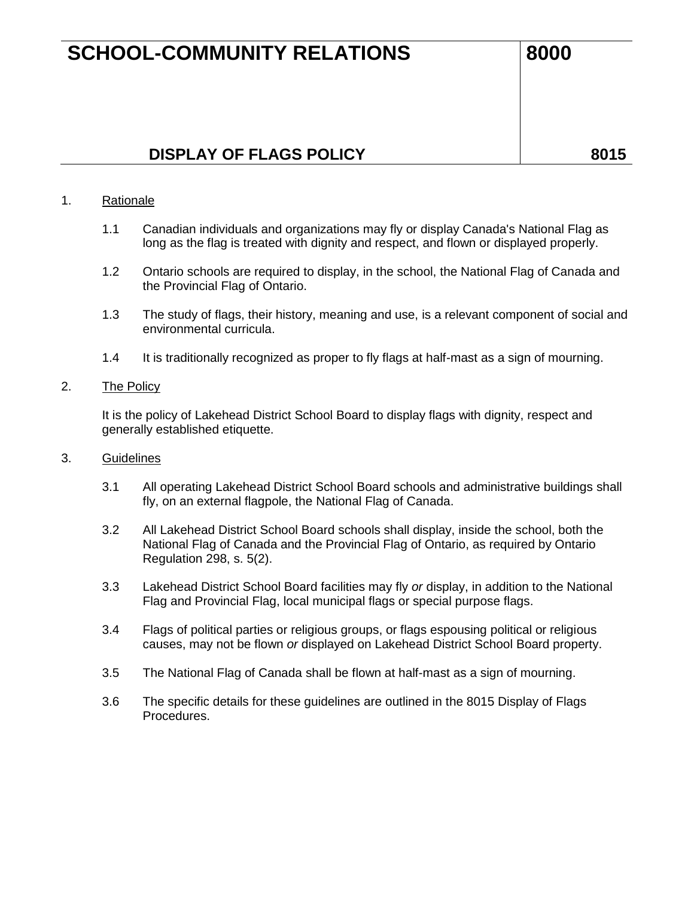## **SCHOOL-COMMUNITY RELATIONS 8000**

## **DISPLAY OF FLAGS POLICY BOLICY BOLICY**

#### 1. Rationale

- 1.1 Canadian individuals and organizations may fly or display Canada's National Flag as long as the flag is treated with dignity and respect, and flown or displayed properly.
- 1.2 Ontario schools are required to display, in the school, the National Flag of Canada and the Provincial Flag of Ontario.
- 1.3 The study of flags, their history, meaning and use, is a relevant component of social and environmental curricula.
- 1.4 It is traditionally recognized as proper to fly flags at half-mast as a sign of mourning.

#### 2. The Policy

It is the policy of Lakehead District School Board to display flags with dignity, respect and generally established etiquette.

#### 3. Guidelines

- 3.1 All operating Lakehead District School Board schools and administrative buildings shall fly, on an external flagpole, the National Flag of Canada.
- 3.2 All Lakehead District School Board schools shall display, inside the school, both the National Flag of Canada and the Provincial Flag of Ontario, as required by Ontario Regulation 298, s. 5(2).
- 3.3 Lakehead District School Board facilities may fly *or* display, in addition to the National Flag and Provincial Flag, local municipal flags or special purpose flags.
- 3.4 Flags of political parties or religious groups, or flags espousing political or religious causes, may not be flown *or* displayed on Lakehead District School Board property.
- 3.5 The National Flag of Canada shall be flown at half-mast as a sign of mourning.
- 3.6 The specific details for these guidelines are outlined in the 8015 Display of Flags Procedures.